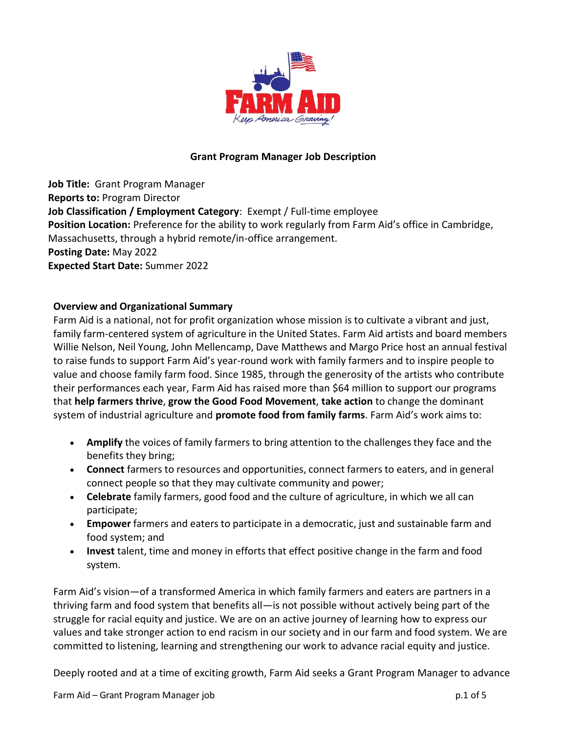

## **Grant Program Manager Job Description**

**Job Title:** Grant Program Manager **Reports to:** Program Director **Job Classification / Employment Category**: Exempt / Full-time employee **Position Location:** Preference for the ability to work regularly from Farm Aid's office in Cambridge, Massachusetts, through a hybrid remote/in-office arrangement. **Posting Date:** May 2022 **Expected Start Date:** Summer 2022

#### **Overview and Organizational Summary**

Farm Aid is a national, not for profit organization whose mission is to cultivate a vibrant and just, family farm-centered system of agriculture in the United States. Farm Aid artists and board members Willie Nelson, Neil Young, John Mellencamp, Dave Matthews and Margo Price host an annual festival to raise funds to support Farm Aid's year-round work with family farmers and to inspire people to value and choose family farm food. Since 1985, through the generosity of the artists who contribute their performances each year, Farm Aid has raised more than \$64 million to support our programs that **help farmers thrive**, **grow the Good Food Movement**, **take action** to change the dominant system of industrial agriculture and **promote food from family farms**. Farm Aid's work aims to:

- **Amplify** the voices of family farmers to bring attention to the challengesthey face and the benefits they bring;
- **Connect** farmers to resources and opportunities, connect farmers to eaters, and in general connect people so that they may cultivate community and power;
- **Celebrate** family farmers, good food and the culture of agriculture, in which we all can participate;
- **Empower** farmers and eaters to participate in a democratic, just and sustainable farm and food system; and
- **Invest** talent, time and money in efforts that effect positive change in the farm and food system.

Farm Aid's vision—of a transformed America in which family farmers and eaters are partners in a thriving farm and food system that benefits all—is not possible without actively being part of the struggle for racial equity and justice. We are on an active journey of learning how to express our values and take stronger action to end racism in our society and in our farm and food system. We are committed to listening, learning and strengthening our work to advance racial equity and justice.

Deeply rooted and at a time of exciting growth, Farm Aid seeks a Grant Program Manager to advance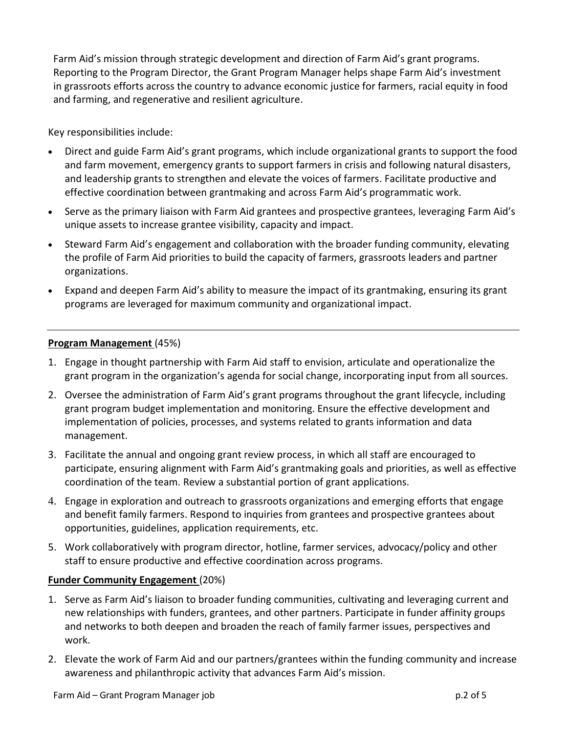Farm Aid's mission through strategic development and direction of Farm Aid's grant programs. Reporting to the Program Director, the Grant Program Manager helps shape Farm Aid's investment in grassroots efforts across the country to advance economic justice for farmers, racial equity in food and farming, and regenerative and resilient agriculture.

Key responsibilities include:

- Direct and guide Farm Aid's grant programs, which include organizational grants to support the food and farm movement, emergency grants to support farmers in crisis and following natural disasters, and leadership grants to strengthen and elevate the voices of farmers. Facilitate productive and effective coordination between grantmaking and across Farm Aid's programmatic work.
- Serve as the primary liaison with Farm Aid grantees and prospective grantees, leveraging Farm Aid's unique assets to increase grantee visibility, capacity and impact.
- Steward Farm Aid's engagement and collaboration with the broader funding community, elevating the profile of Farm Aid priorities to build the capacity of farmers, grassroots leaders and partner organizations.
- Expand and deepen Farm Aid's ability to measure the impact of its grantmaking, ensuring its grant programs are leveraged for maximum community and organizational impact.

### **Program Management** (45%)

- 1. Engage in thought partnership with Farm Aid staff to envision, articulate and operationalize the grant program in the organization's agenda for social change, incorporating input from all sources.
- 2. Oversee the administration of Farm Aid's grant programs throughout the grant lifecycle, including grant program budget implementation and monitoring. Ensure the effective development and implementation of policies, processes, and systems related to grants information and data management.
- 3. Facilitate the annual and ongoing grant review process, in which all staff are encouraged to participate, ensuring alignment with Farm Aid's grantmaking goals and priorities, as well as effective coordination of the team. Review a substantial portion of grant applications.
- 4. Engage in exploration and outreach to grassroots organizations and emerging efforts that engage and benefit family farmers. Respond to inquiries from grantees and prospective grantees about opportunities, guidelines, application requirements, etc.
- 5. Work collaboratively with program director, hotline, farmer services, advocacy/policy and other staff to ensure productive and effective coordination across programs.

# **Funder Community Engagement** (20%)

- 1. Serve as Farm Aid's liaison to broader funding communities, cultivating and leveraging current and new relationships with funders, grantees, and other partners. Participate in funder affinity groups and networks to both deepen and broaden the reach of family farmer issues, perspectives and work.
- 2. Elevate the work of Farm Aid and our partners/grantees within the funding community and increase awareness and philanthropic activity that advances Farm Aid's mission.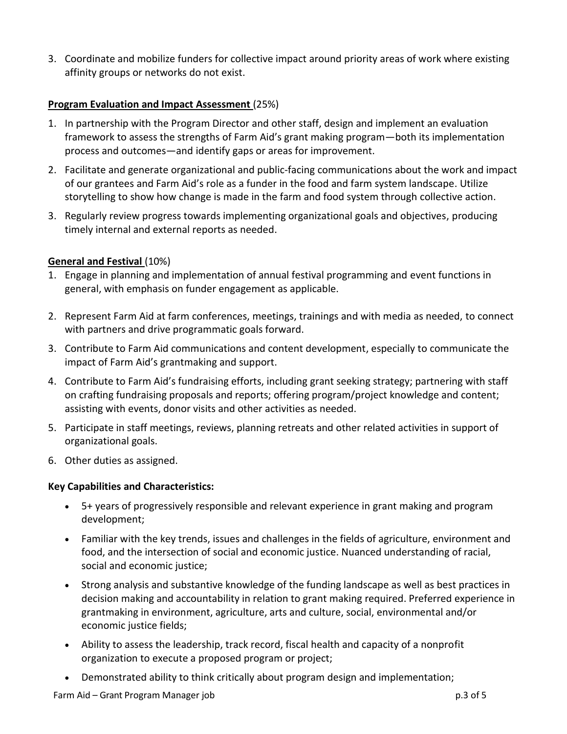3. Coordinate and mobilize funders for collective impact around priority areas of work where existing affinity groups or networks do not exist.

### **Program Evaluation and Impact Assessment** (25%)

- 1. In partnership with the Program Director and other staff, design and implement an evaluation framework to assess the strengths of Farm Aid's grant making program—both its implementation process and outcomes—and identify gaps or areas for improvement.
- 2. Facilitate and generate organizational and public-facing communications about the work and impact of our grantees and Farm Aid's role as a funder in the food and farm system landscape. Utilize storytelling to show how change is made in the farm and food system through collective action.
- 3. Regularly review progress towards implementing organizational goals and objectives, producing timely internal and external reports as needed.

#### **General and Festival** (10%)

- 1. Engage in planning and implementation of annual festival programming and event functions in general, with emphasis on funder engagement as applicable.
- 2. Represent Farm Aid at farm conferences, meetings, trainings and with media as needed, to connect with partners and drive programmatic goals forward.
- 3. Contribute to Farm Aid communications and content development, especially to communicate the impact of Farm Aid's grantmaking and support.
- 4. Contribute to Farm Aid's fundraising efforts, including grant seeking strategy; partnering with staff on crafting fundraising proposals and reports; offering program/project knowledge and content; assisting with events, donor visits and other activities as needed.
- 5. Participate in staff meetings, reviews, planning retreats and other related activities in support of organizational goals.
- 6. Other duties as assigned.

#### **Key Capabilities and Characteristics:**

- 5+ years of progressively responsible and relevant experience in grant making and program development;
- Familiar with the key trends, issues and challenges in the fields of agriculture, environment and food, and the intersection of social and economic justice. Nuanced understanding of racial, social and economic justice;
- Strong analysis and substantive knowledge of the funding landscape as well as best practices in decision making and accountability in relation to grant making required. Preferred experience in grantmaking in environment, agriculture, arts and culture, social, environmental and/or economic justice fields;
- Ability to assess the leadership, track record, fiscal health and capacity of a nonprofit organization to execute a proposed program or project;
- Demonstrated ability to think critically about program design and implementation;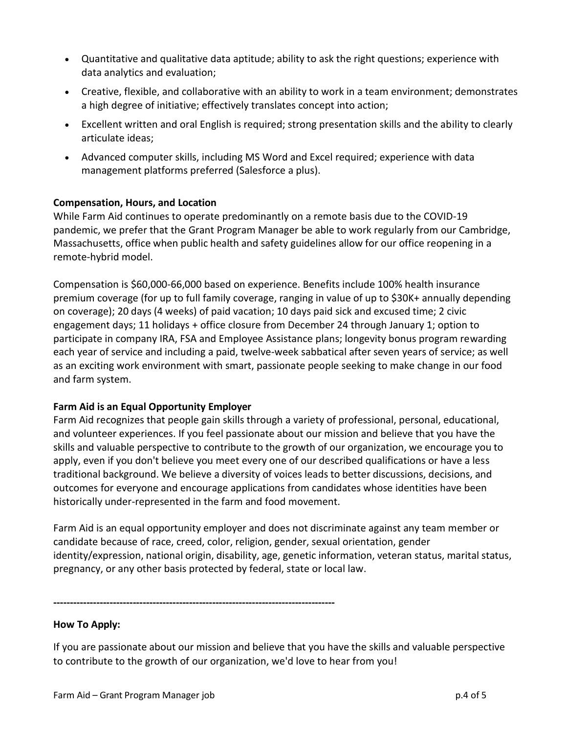- Quantitative and qualitative data aptitude; ability to ask the right questions; experience with data analytics and evaluation;
- Creative, flexible, and collaborative with an ability to work in a team environment; demonstrates a high degree of initiative; effectively translates concept into action;
- Excellent written and oral English is required; strong presentation skills and the ability to clearly articulate ideas;
- Advanced computer skills, including MS Word and Excel required; experience with data management platforms preferred (Salesforce a plus).

### **Compensation, Hours, and Location**

While Farm Aid continues to operate predominantly on a remote basis due to the COVID-19 pandemic, we prefer that the Grant Program Manager be able to work regularly from our Cambridge, Massachusetts, office when public health and safety guidelines allow for our office reopening in a remote-hybrid model.

Compensation is \$60,000-66,000 based on experience. Benefits include 100% health insurance premium coverage (for up to full family coverage, ranging in value of up to \$30K+ annually depending on coverage); 20 days (4 weeks) of paid vacation; 10 days paid sick and excused time; 2 civic engagement days; 11 holidays + office closure from December 24 through January 1; option to participate in company IRA, FSA and Employee Assistance plans; longevity bonus program rewarding each year of service and including a paid, twelve-week sabbatical after seven years of service; as well as an exciting work environment with smart, passionate people seeking to make change in our food and farm system.

# **Farm Aid is an Equal Opportunity Employer**

Farm Aid recognizes that people gain skills through a variety of professional, personal, educational, and volunteer experiences. If you feel passionate about our mission and believe that you have the skills and valuable perspective to contribute to the growth of our organization, we encourage you to apply, even if you don't believe you meet every one of our described qualifications or have a less traditional background. We believe a diversity of voices leads to better discussions, decisions, and outcomes for everyone and encourage applications from candidates whose identities have been historically under-represented in the farm and food movement.

Farm Aid is an equal opportunity employer and does not discriminate against any team member or candidate because of race, creed, color, religion, gender, sexual orientation, gender identity/expression, national origin, disability, age, genetic information, veteran status, marital status, pregnancy, or any other basis protected by federal, state or local law.

**-------------------------------------------------------------------------------------**

#### **How To Apply:**

If you are passionate about our mission and believe that you have the skills and valuable perspective to contribute to the growth of our organization, we'd love to hear from you!